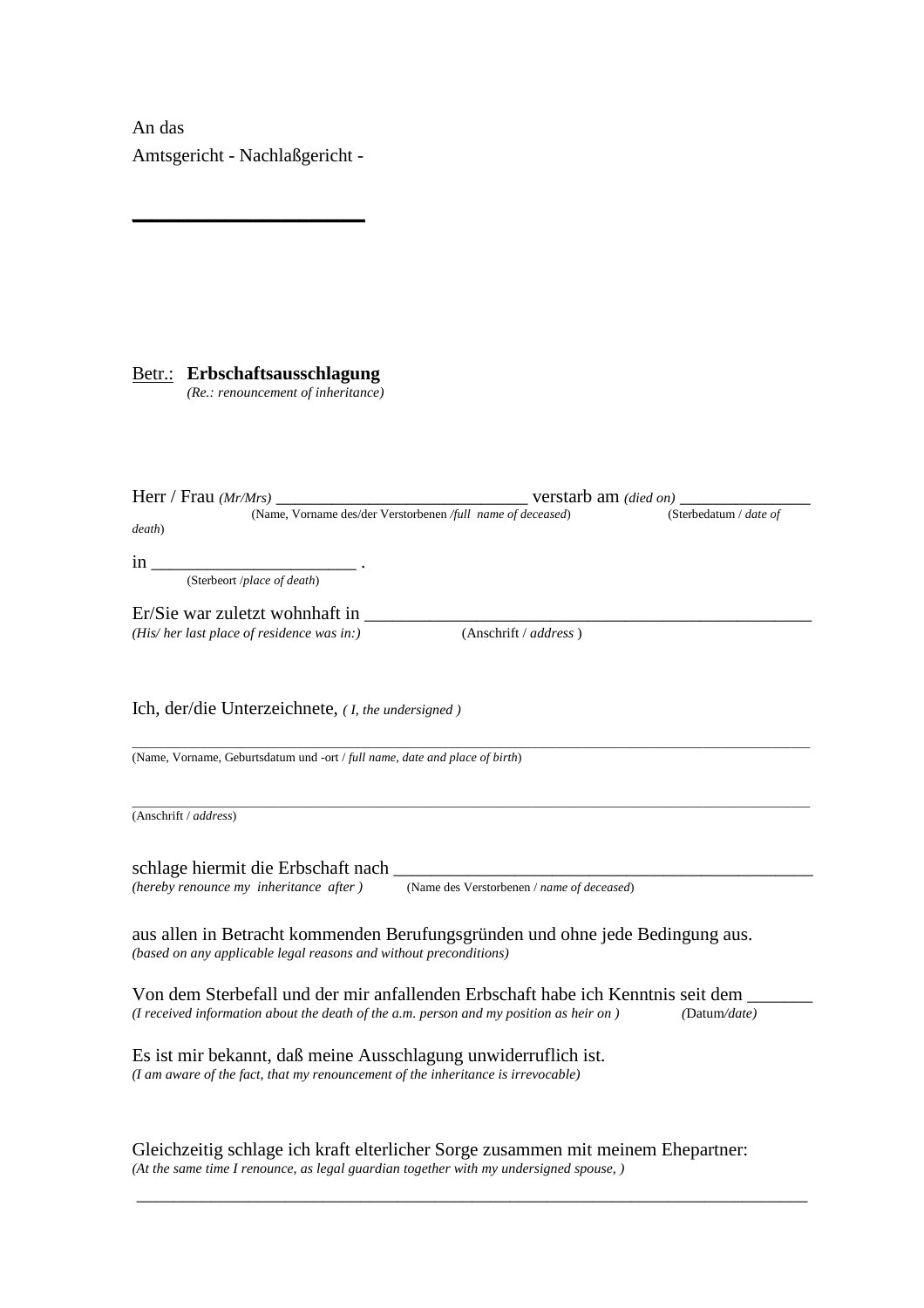An das Amtsgericht - Nachlaßgericht -

**\_\_\_\_\_\_\_\_\_\_\_\_\_\_\_\_\_\_\_\_\_\_\_\_\_**

Betr.: **Erbschaftsausschlagung**

*(Re.: renouncement of inheritance)* 

|                                                                                        | (Name, Vorname des/der Verstorbenen /full name of deceased)<br>(Sterbedatum / date of |              |
|----------------------------------------------------------------------------------------|---------------------------------------------------------------------------------------|--------------|
| death)                                                                                 |                                                                                       |              |
| $\ln$ $\overline{\phantom{0}}$                                                         |                                                                                       |              |
| (Sterbeort /place of death)                                                            |                                                                                       |              |
|                                                                                        |                                                                                       |              |
| Er/Sie war zuletzt wohnhaft in                                                         |                                                                                       |              |
| (His/her last place of residence was in:)                                              | (Anschrift / address)                                                                 |              |
|                                                                                        |                                                                                       |              |
| Ich, der/die Unterzeichnete, ( <i>I, the undersigned</i> )                             |                                                                                       |              |
|                                                                                        |                                                                                       |              |
| (Name, Vorname, Geburtsdatum und -ort / full name, date and place of birth)            |                                                                                       |              |
|                                                                                        |                                                                                       |              |
|                                                                                        |                                                                                       |              |
| (Anschrift / address)                                                                  |                                                                                       |              |
|                                                                                        |                                                                                       |              |
| schlage hiermit die Erbschaft nach                                                     |                                                                                       |              |
| (hereby renounce my inheritance after)                                                 | (Name des Verstorbenen / name of deceased)                                            |              |
|                                                                                        |                                                                                       |              |
|                                                                                        |                                                                                       |              |
| aus allen in Betracht kommenden Berufungsgründen und ohne jede Bedingung aus.          |                                                                                       |              |
| (based on any applicable legal reasons and without preconditions)                      |                                                                                       |              |
|                                                                                        |                                                                                       |              |
| Von dem Sterbefall und der mir anfallenden Erbschaft habe ich Kenntnis seit dem        |                                                                                       |              |
| (I received information about the death of the a.m. person and my position as heir on) |                                                                                       | (Datum/date) |
|                                                                                        |                                                                                       |              |
| Es ist mir bekannt, daß meine Ausschlagung unwiderruflich ist.                         |                                                                                       |              |
| (I am aware of the fact, that my renouncement of the inheritance is irrevocable)       |                                                                                       |              |
|                                                                                        |                                                                                       |              |
|                                                                                        |                                                                                       |              |

Gleichzeitig schlage ich kraft elterlicher Sorge zusammen mit meinem Ehepartner: *(At the same time I renounce, as legal guardian together with my undersigned spouse, )* 

\_\_\_\_\_\_\_\_\_\_\_\_\_\_\_\_\_\_\_\_\_\_\_\_\_\_\_\_\_\_\_\_\_\_\_\_\_\_\_\_\_\_\_\_\_\_\_\_\_\_\_\_\_\_\_\_\_\_\_\_\_\_\_\_\_\_\_\_\_\_\_\_